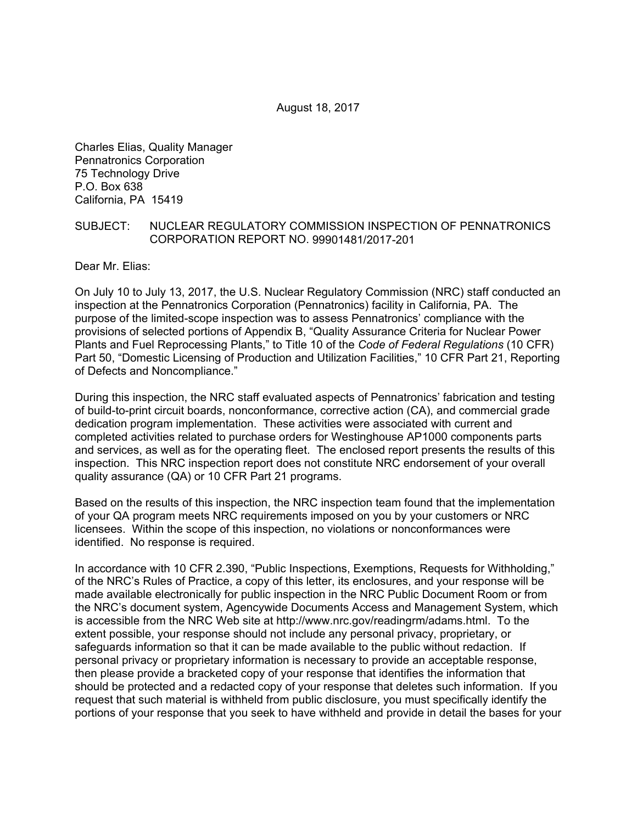Charles Elias, Quality Manager Pennatronics Corporation 75 Technology Drive P.O. Box 638 California, PA 15419

#### SUBJECT: NUCLEAR REGULATORY COMMISSION INSPECTION OF PENNATRONICS CORPORATION REPORT NO. 99901481/2017-201

Dear Mr. Elias:

On July 10 to July 13, 2017, the U.S. Nuclear Regulatory Commission (NRC) staff conducted an inspection at the Pennatronics Corporation (Pennatronics) facility in California, PA. The purpose of the limited-scope inspection was to assess Pennatronics' compliance with the provisions of selected portions of Appendix B, "Quality Assurance Criteria for Nuclear Power Plants and Fuel Reprocessing Plants," to Title 10 of the *Code of Federal Regulations* (10 CFR) Part 50, "Domestic Licensing of Production and Utilization Facilities," 10 CFR Part 21, Reporting of Defects and Noncompliance."

During this inspection, the NRC staff evaluated aspects of Pennatronics' fabrication and testing of build-to-print circuit boards, nonconformance, corrective action (CA), and commercial grade dedication program implementation. These activities were associated with current and completed activities related to purchase orders for Westinghouse AP1000 components parts and services, as well as for the operating fleet. The enclosed report presents the results of this inspection. This NRC inspection report does not constitute NRC endorsement of your overall quality assurance (QA) or 10 CFR Part 21 programs.

Based on the results of this inspection, the NRC inspection team found that the implementation of your QA program meets NRC requirements imposed on you by your customers or NRC licensees. Within the scope of this inspection, no violations or nonconformances were identified. No response is required.

In accordance with 10 CFR 2.390, "Public Inspections, Exemptions, Requests for Withholding," of the NRC's Rules of Practice, a copy of this letter, its enclosures, and your response will be made available electronically for public inspection in the NRC Public Document Room or from the NRC's document system, Agencywide Documents Access and Management System, which is accessible from the NRC Web site at http://www.nrc.gov/readingrm/adams.html. To the extent possible, your response should not include any personal privacy, proprietary, or safeguards information so that it can be made available to the public without redaction. If personal privacy or proprietary information is necessary to provide an acceptable response, then please provide a bracketed copy of your response that identifies the information that should be protected and a redacted copy of your response that deletes such information. If you request that such material is withheld from public disclosure, you must specifically identify the portions of your response that you seek to have withheld and provide in detail the bases for your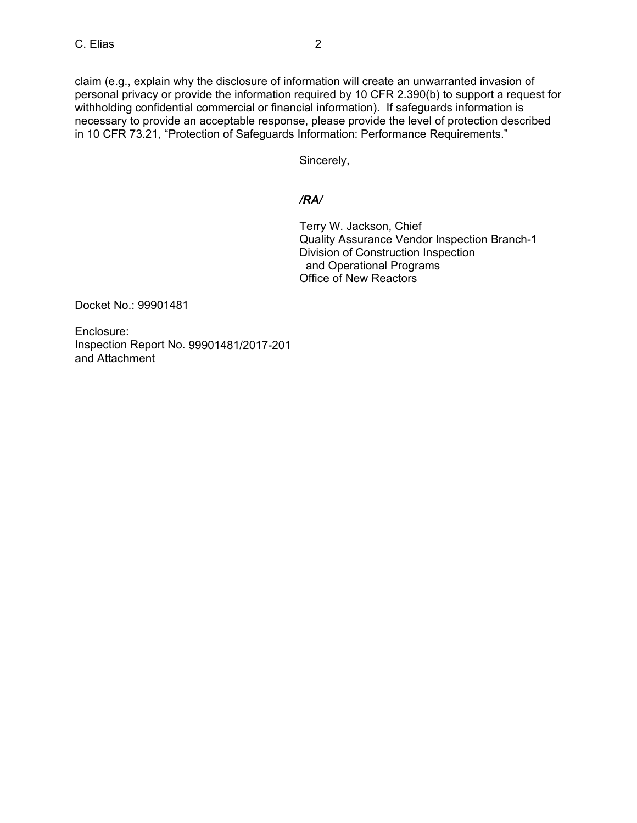claim (e.g., explain why the disclosure of information will create an unwarranted invasion of personal privacy or provide the information required by 10 CFR 2.390(b) to support a request for withholding confidential commercial or financial information). If safeguards information is necessary to provide an acceptable response, please provide the level of protection described in 10 CFR 73.21, "Protection of Safeguards Information: Performance Requirements."

Sincerely,

## */RA/*

Terry W. Jackson, Chief Quality Assurance Vendor Inspection Branch-1 Division of Construction Inspection and Operational Programs Office of New Reactors

Docket No.: 99901481

Enclosure: Inspection Report No. 99901481/2017-201 and Attachment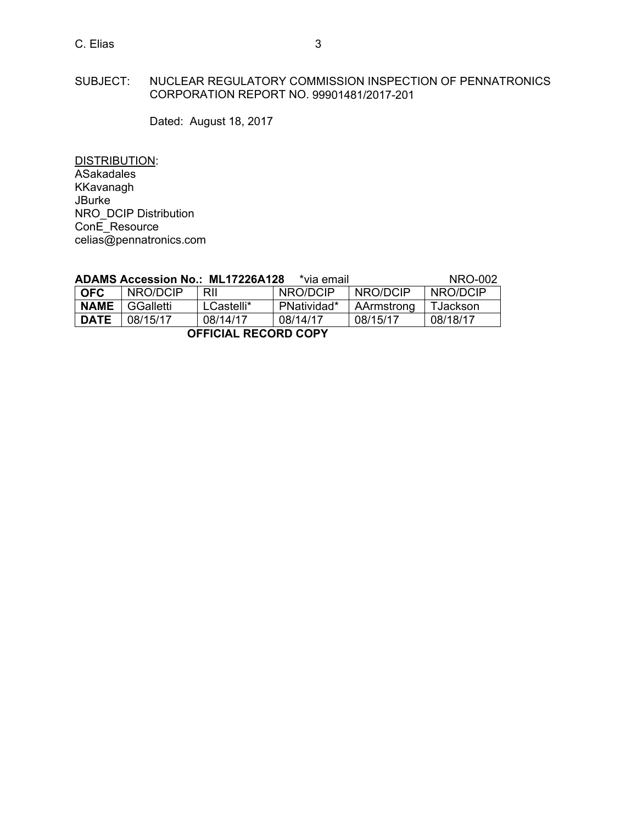## C. Elias 3

### SUBJECT: NUCLEAR REGULATORY COMMISSION INSPECTION OF PENNATRONICS CORPORATION REPORT NO. 99901481/2017-201

Dated: August 18, 2017

DISTRIBUTION: ASakadales KKavanagh JBurke NRO\_DCIP Distribution ConE\_Resource celias@pennatronics.com

|            |              | ADAMS Accession No.: ML17226A128 | *via email * |            | NRO-002  |
|------------|--------------|----------------------------------|--------------|------------|----------|
| <b>OFC</b> | NRO/DCIP RII |                                  | NRO/DCIP     | I NRO/DCIP | NRO/DCIP |

| <b>OFFICIAL RECORD COPY</b> |                  |            |                  |                  |                  |
|-----------------------------|------------------|------------|------------------|------------------|------------------|
| <b>DATE</b>                 | 08/15/17         | 08/14/17   | 08/14/17         | 08/15/17         | 08/18/17         |
| <b>NAME</b>                 | GGalletti        | LCastelli* | PNatividad*      | AArmstrong       | TJackson         |
| ו טרע                       | <b>INRU/LULE</b> | <b>KIL</b> | <b>INRU/LULE</b> | <b>INRU/LULE</b> | <b>INRU/LULE</b> |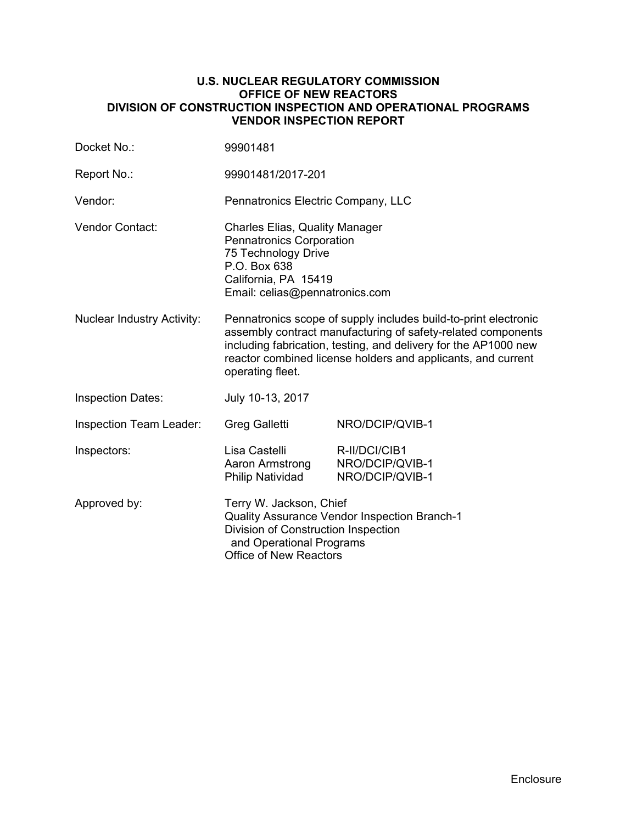#### **U.S. NUCLEAR REGULATORY COMMISSION OFFICE OF NEW REACTORS DIVISION OF CONSTRUCTION INSPECTION AND OPERATIONAL PROGRAMS VENDOR INSPECTION REPORT**

| Docket No.:                       | 99901481                                                                                                                                                                                                                                                                               |                                                     |  |
|-----------------------------------|----------------------------------------------------------------------------------------------------------------------------------------------------------------------------------------------------------------------------------------------------------------------------------------|-----------------------------------------------------|--|
| Report No.:                       | 99901481/2017-201                                                                                                                                                                                                                                                                      |                                                     |  |
| Vendor:                           | Pennatronics Electric Company, LLC                                                                                                                                                                                                                                                     |                                                     |  |
| <b>Vendor Contact:</b>            | <b>Charles Elias, Quality Manager</b><br>Pennatronics Corporation<br>75 Technology Drive<br>P.O. Box 638<br>California, PA 15419<br>Email: celias@pennatronics.com                                                                                                                     |                                                     |  |
| <b>Nuclear Industry Activity:</b> | Pennatronics scope of supply includes build-to-print electronic<br>assembly contract manufacturing of safety-related components<br>including fabrication, testing, and delivery for the AP1000 new<br>reactor combined license holders and applicants, and current<br>operating fleet. |                                                     |  |
| <b>Inspection Dates:</b>          | July 10-13, 2017                                                                                                                                                                                                                                                                       |                                                     |  |
| Inspection Team Leader:           | Greg Galletti                                                                                                                                                                                                                                                                          | NRO/DCIP/QVIB-1                                     |  |
| Inspectors:                       | Lisa Castelli<br>Aaron Armstrong<br><b>Philip Natividad</b>                                                                                                                                                                                                                            | R-II/DCI/CIB1<br>NRO/DCIP/QVIB-1<br>NRO/DCIP/QVIB-1 |  |
| Approved by:                      | Terry W. Jackson, Chief<br>Quality Assurance Vendor Inspection Branch-1<br>Division of Construction Inspection<br>and Operational Programs<br>Office of New Reactors                                                                                                                   |                                                     |  |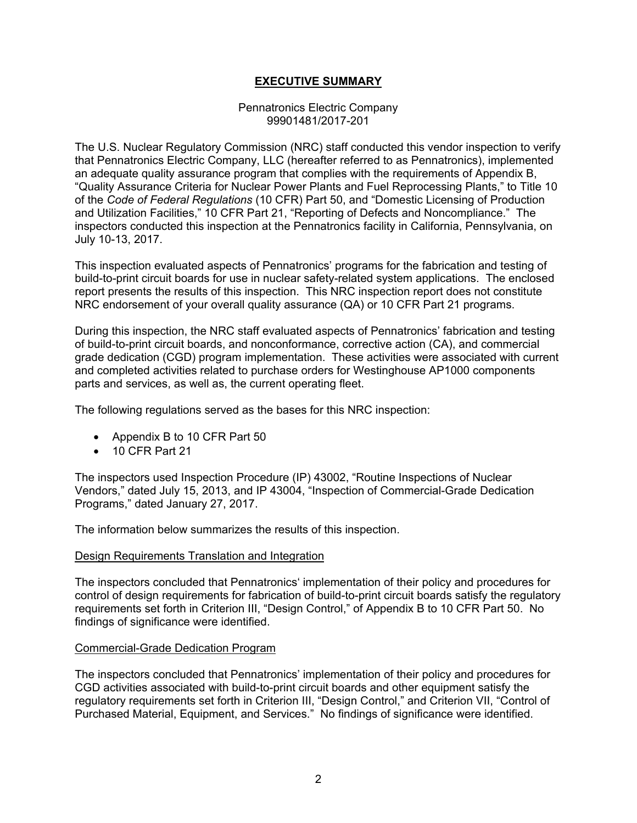### **EXECUTIVE SUMMARY**

#### Pennatronics Electric Company 99901481/2017-201

The U.S. Nuclear Regulatory Commission (NRC) staff conducted this vendor inspection to verify that Pennatronics Electric Company, LLC (hereafter referred to as Pennatronics), implemented an adequate quality assurance program that complies with the requirements of Appendix B, "Quality Assurance Criteria for Nuclear Power Plants and Fuel Reprocessing Plants," to Title 10 of the *Code of Federal Regulations* (10 CFR) Part 50, and "Domestic Licensing of Production and Utilization Facilities," 10 CFR Part 21, "Reporting of Defects and Noncompliance." The inspectors conducted this inspection at the Pennatronics facility in California, Pennsylvania, on July 10-13, 2017.

This inspection evaluated aspects of Pennatronics' programs for the fabrication and testing of build-to-print circuit boards for use in nuclear safety-related system applications. The enclosed report presents the results of this inspection. This NRC inspection report does not constitute NRC endorsement of your overall quality assurance (QA) or 10 CFR Part 21 programs.

During this inspection, the NRC staff evaluated aspects of Pennatronics' fabrication and testing of build-to-print circuit boards, and nonconformance, corrective action (CA), and commercial grade dedication (CGD) program implementation. These activities were associated with current and completed activities related to purchase orders for Westinghouse AP1000 components parts and services, as well as, the current operating fleet.

The following regulations served as the bases for this NRC inspection:

- Appendix B to 10 CFR Part 50
- 10 CFR Part 21

The inspectors used Inspection Procedure (IP) 43002, "Routine Inspections of Nuclear Vendors," dated July 15, 2013, and IP 43004, "Inspection of Commercial-Grade Dedication Programs," dated January 27, 2017.

The information below summarizes the results of this inspection.

#### Design Requirements Translation and Integration

The inspectors concluded that Pennatronics' implementation of their policy and procedures for control of design requirements for fabrication of build-to-print circuit boards satisfy the regulatory requirements set forth in Criterion III, "Design Control," of Appendix B to 10 CFR Part 50. No findings of significance were identified.

#### Commercial-Grade Dedication Program

The inspectors concluded that Pennatronics' implementation of their policy and procedures for CGD activities associated with build-to-print circuit boards and other equipment satisfy the regulatory requirements set forth in Criterion III, "Design Control," and Criterion VII, "Control of Purchased Material, Equipment, and Services." No findings of significance were identified.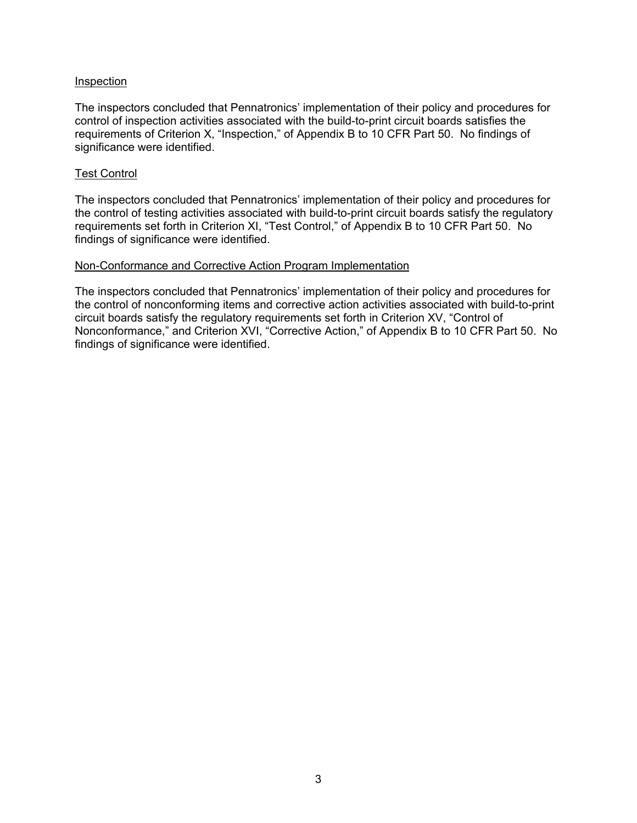#### Inspection

The inspectors concluded that Pennatronics' implementation of their policy and procedures for control of inspection activities associated with the build-to-print circuit boards satisfies the requirements of Criterion X, "Inspection," of Appendix B to 10 CFR Part 50. No findings of significance were identified.

#### Test Control

The inspectors concluded that Pennatronics' implementation of their policy and procedures for the control of testing activities associated with build-to-print circuit boards satisfy the regulatory requirements set forth in Criterion XI, "Test Control," of Appendix B to 10 CFR Part 50. No findings of significance were identified.

#### Non-Conformance and Corrective Action Program Implementation

The inspectors concluded that Pennatronics' implementation of their policy and procedures for the control of nonconforming items and corrective action activities associated with build-to-print circuit boards satisfy the regulatory requirements set forth in Criterion XV, "Control of Nonconformance," and Criterion XVI, "Corrective Action," of Appendix B to 10 CFR Part 50. No findings of significance were identified.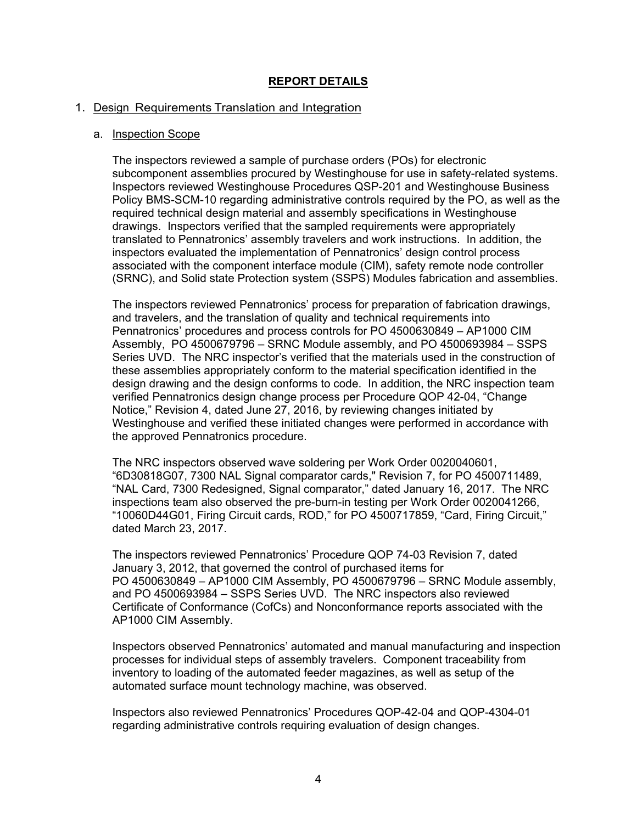### **REPORT DETAILS**

#### 1. Design Requirements Translation and Integration

#### a. Inspection Scope

The inspectors reviewed a sample of purchase orders (POs) for electronic subcomponent assemblies procured by Westinghouse for use in safety-related systems. Inspectors reviewed Westinghouse Procedures QSP-201 and Westinghouse Business Policy BMS-SCM-10 regarding administrative controls required by the PO, as well as the required technical design material and assembly specifications in Westinghouse drawings. Inspectors verified that the sampled requirements were appropriately translated to Pennatronics' assembly travelers and work instructions. In addition, the inspectors evaluated the implementation of Pennatronics' design control process associated with the component interface module (CIM), safety remote node controller (SRNC), and Solid state Protection system (SSPS) Modules fabrication and assemblies.

The inspectors reviewed Pennatronics' process for preparation of fabrication drawings, and travelers, and the translation of quality and technical requirements into Pennatronics' procedures and process controls for PO 4500630849 – AP1000 CIM Assembly, PO 4500679796 – SRNC Module assembly, and PO 4500693984 – SSPS Series UVD. The NRC inspector's verified that the materials used in the construction of these assemblies appropriately conform to the material specification identified in the design drawing and the design conforms to code. In addition, the NRC inspection team verified Pennatronics design change process per Procedure QOP 42-04, "Change Notice," Revision 4, dated June 27, 2016, by reviewing changes initiated by Westinghouse and verified these initiated changes were performed in accordance with the approved Pennatronics procedure.

The NRC inspectors observed wave soldering per Work Order 0020040601, "6D30818G07, 7300 NAL Signal comparator cards," Revision 7, for PO 4500711489, "NAL Card, 7300 Redesigned, Signal comparator," dated January 16, 2017. The NRC inspections team also observed the pre-burn-in testing per Work Order 0020041266, "10060D44G01, Firing Circuit cards, ROD," for PO 4500717859, "Card, Firing Circuit," dated March 23, 2017.

The inspectors reviewed Pennatronics' Procedure QOP 74-03 Revision 7, dated January 3, 2012, that governed the control of purchased items for PO 4500630849 – AP1000 CIM Assembly, PO 4500679796 – SRNC Module assembly, and PO 4500693984 – SSPS Series UVD. The NRC inspectors also reviewed Certificate of Conformance (CofCs) and Nonconformance reports associated with the AP1000 CIM Assembly.

Inspectors observed Pennatronics' automated and manual manufacturing and inspection processes for individual steps of assembly travelers. Component traceability from inventory to loading of the automated feeder magazines, as well as setup of the automated surface mount technology machine, was observed.

Inspectors also reviewed Pennatronics' Procedures QOP-42-04 and QOP-4304-01 regarding administrative controls requiring evaluation of design changes.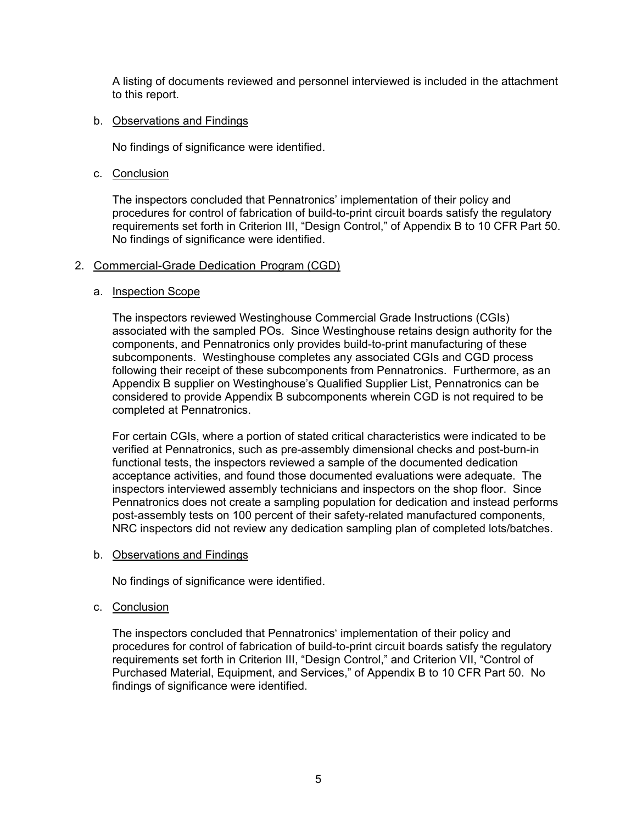A listing of documents reviewed and personnel interviewed is included in the attachment to this report.

#### b. Observations and Findings

No findings of significance were identified.

c. Conclusion

The inspectors concluded that Pennatronics' implementation of their policy and procedures for control of fabrication of build-to-print circuit boards satisfy the regulatory requirements set forth in Criterion III, "Design Control," of Appendix B to 10 CFR Part 50. No findings of significance were identified.

#### 2. Commercial-Grade Dedication Program (CGD)

#### a. Inspection Scope

The inspectors reviewed Westinghouse Commercial Grade Instructions (CGIs) associated with the sampled POs. Since Westinghouse retains design authority for the components, and Pennatronics only provides build-to-print manufacturing of these subcomponents. Westinghouse completes any associated CGIs and CGD process following their receipt of these subcomponents from Pennatronics. Furthermore, as an Appendix B supplier on Westinghouse's Qualified Supplier List, Pennatronics can be considered to provide Appendix B subcomponents wherein CGD is not required to be completed at Pennatronics.

For certain CGIs, where a portion of stated critical characteristics were indicated to be verified at Pennatronics, such as pre-assembly dimensional checks and post-burn-in functional tests, the inspectors reviewed a sample of the documented dedication acceptance activities, and found those documented evaluations were adequate. The inspectors interviewed assembly technicians and inspectors on the shop floor. Since Pennatronics does not create a sampling population for dedication and instead performs post-assembly tests on 100 percent of their safety-related manufactured components, NRC inspectors did not review any dedication sampling plan of completed lots/batches.

b. Observations and Findings

No findings of significance were identified.

c. Conclusion

The inspectors concluded that Pennatronics' implementation of their policy and procedures for control of fabrication of build-to-print circuit boards satisfy the regulatory requirements set forth in Criterion III, "Design Control," and Criterion VII, "Control of Purchased Material, Equipment, and Services," of Appendix B to 10 CFR Part 50. No findings of significance were identified.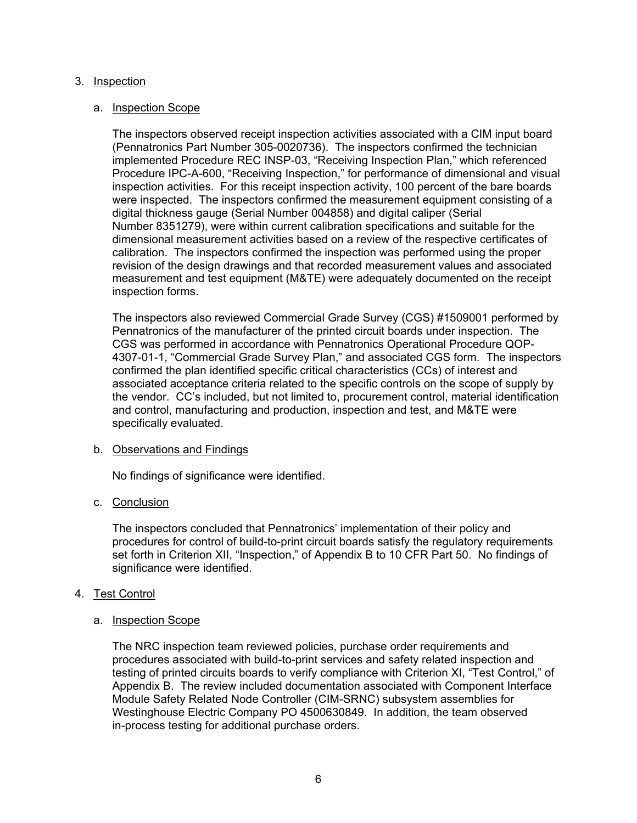#### 3. Inspection

#### a. Inspection Scope

The inspectors observed receipt inspection activities associated with a CIM input board (Pennatronics Part Number 305-0020736). The inspectors confirmed the technician implemented Procedure REC INSP-03, "Receiving Inspection Plan," which referenced Procedure IPC-A-600, "Receiving Inspection," for performance of dimensional and visual inspection activities. For this receipt inspection activity, 100 percent of the bare boards were inspected. The inspectors confirmed the measurement equipment consisting of a digital thickness gauge (Serial Number 004858) and digital caliper (Serial Number 8351279), were within current calibration specifications and suitable for the dimensional measurement activities based on a review of the respective certificates of calibration. The inspectors confirmed the inspection was performed using the proper revision of the design drawings and that recorded measurement values and associated measurement and test equipment (M&TE) were adequately documented on the receipt inspection forms.

The inspectors also reviewed Commercial Grade Survey (CGS) #1509001 performed by Pennatronics of the manufacturer of the printed circuit boards under inspection. The CGS was performed in accordance with Pennatronics Operational Procedure QOP-4307-01-1, "Commercial Grade Survey Plan," and associated CGS form. The inspectors confirmed the plan identified specific critical characteristics (CCs) of interest and associated acceptance criteria related to the specific controls on the scope of supply by the vendor. CC's included, but not limited to, procurement control, material identification and control, manufacturing and production, inspection and test, and M&TE were specifically evaluated.

### b. Observations and Findings

No findings of significance were identified.

### c. Conclusion

The inspectors concluded that Pennatronics' implementation of their policy and procedures for control of build-to-print circuit boards satisfy the regulatory requirements set forth in Criterion XII, "Inspection," of Appendix B to 10 CFR Part 50. No findings of significance were identified.

### 4. Test Control

#### a. Inspection Scope

The NRC inspection team reviewed policies, purchase order requirements and procedures associated with build-to-print services and safety related inspection and testing of printed circuits boards to verify compliance with Criterion XI, "Test Control," of Appendix B. The review included documentation associated with Component Interface Module Safety Related Node Controller (CIM-SRNC) subsystem assemblies for Westinghouse Electric Company PO 4500630849. In addition, the team observed in-process testing for additional purchase orders.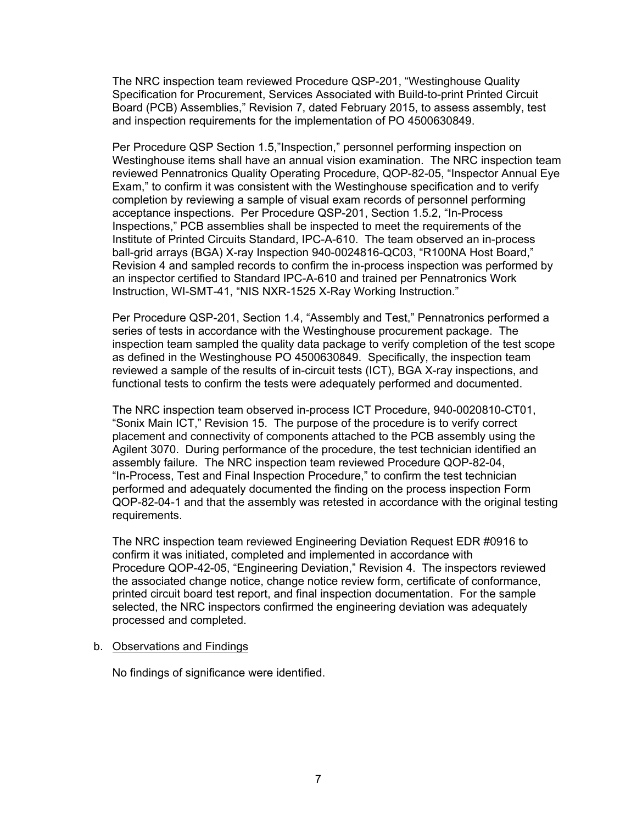The NRC inspection team reviewed Procedure QSP-201, "Westinghouse Quality Specification for Procurement, Services Associated with Build-to-print Printed Circuit Board (PCB) Assemblies," Revision 7, dated February 2015, to assess assembly, test and inspection requirements for the implementation of PO 4500630849.

Per Procedure QSP Section 1.5,"Inspection," personnel performing inspection on Westinghouse items shall have an annual vision examination. The NRC inspection team reviewed Pennatronics Quality Operating Procedure, QOP-82-05, "Inspector Annual Eye Exam," to confirm it was consistent with the Westinghouse specification and to verify completion by reviewing a sample of visual exam records of personnel performing acceptance inspections. Per Procedure QSP-201, Section 1.5.2, "In-Process Inspections," PCB assemblies shall be inspected to meet the requirements of the Institute of Printed Circuits Standard, IPC-A-610. The team observed an in-process ball-grid arrays (BGA) X-ray Inspection 940-0024816-QC03, "R100NA Host Board," Revision 4 and sampled records to confirm the in-process inspection was performed by an inspector certified to Standard IPC-A-610 and trained per Pennatronics Work Instruction, WI-SMT-41, "NIS NXR-1525 X-Ray Working Instruction."

Per Procedure QSP-201, Section 1.4, "Assembly and Test," Pennatronics performed a series of tests in accordance with the Westinghouse procurement package. The inspection team sampled the quality data package to verify completion of the test scope as defined in the Westinghouse PO 4500630849. Specifically, the inspection team reviewed a sample of the results of in-circuit tests (ICT), BGA X-ray inspections, and functional tests to confirm the tests were adequately performed and documented.

The NRC inspection team observed in-process ICT Procedure, 940-0020810-CT01, "Sonix Main ICT," Revision 15. The purpose of the procedure is to verify correct placement and connectivity of components attached to the PCB assembly using the Agilent 3070. During performance of the procedure, the test technician identified an assembly failure. The NRC inspection team reviewed Procedure QOP-82-04, "In-Process, Test and Final Inspection Procedure," to confirm the test technician performed and adequately documented the finding on the process inspection Form QOP-82-04-1 and that the assembly was retested in accordance with the original testing requirements.

The NRC inspection team reviewed Engineering Deviation Request EDR #0916 to confirm it was initiated, completed and implemented in accordance with Procedure QOP-42-05, "Engineering Deviation," Revision 4. The inspectors reviewed the associated change notice, change notice review form, certificate of conformance, printed circuit board test report, and final inspection documentation. For the sample selected, the NRC inspectors confirmed the engineering deviation was adequately processed and completed.

#### b. Observations and Findings

No findings of significance were identified.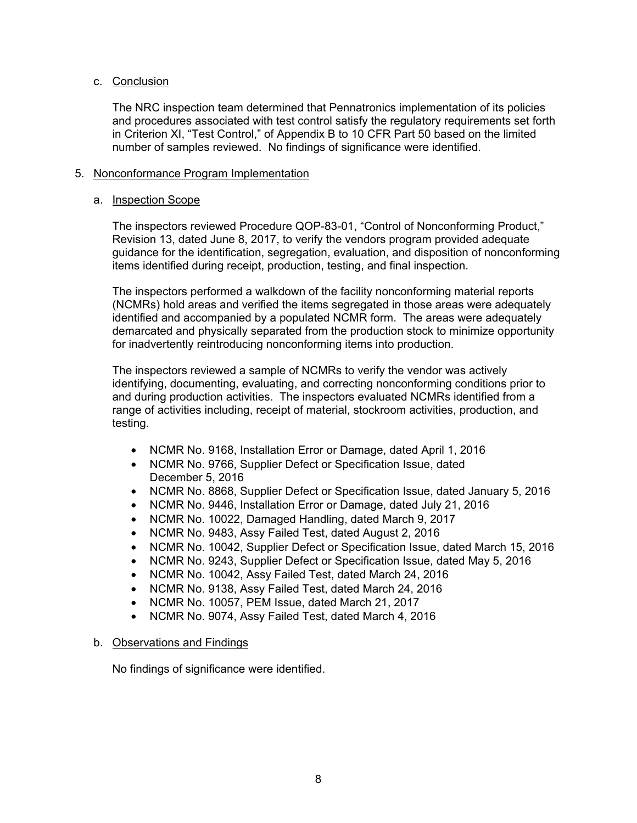### c. Conclusion

The NRC inspection team determined that Pennatronics implementation of its policies and procedures associated with test control satisfy the regulatory requirements set forth in Criterion XI, "Test Control," of Appendix B to 10 CFR Part 50 based on the limited number of samples reviewed. No findings of significance were identified.

#### 5. Nonconformance Program Implementation

#### a. Inspection Scope

The inspectors reviewed Procedure QOP-83-01, "Control of Nonconforming Product," Revision 13, dated June 8, 2017, to verify the vendors program provided adequate guidance for the identification, segregation, evaluation, and disposition of nonconforming items identified during receipt, production, testing, and final inspection.

The inspectors performed a walkdown of the facility nonconforming material reports (NCMRs) hold areas and verified the items segregated in those areas were adequately identified and accompanied by a populated NCMR form. The areas were adequately demarcated and physically separated from the production stock to minimize opportunity for inadvertently reintroducing nonconforming items into production.

The inspectors reviewed a sample of NCMRs to verify the vendor was actively identifying, documenting, evaluating, and correcting nonconforming conditions prior to and during production activities. The inspectors evaluated NCMRs identified from a range of activities including, receipt of material, stockroom activities, production, and testing.

- NCMR No. 9168, Installation Error or Damage, dated April 1, 2016
- NCMR No. 9766, Supplier Defect or Specification Issue, dated December 5, 2016
- NCMR No. 8868, Supplier Defect or Specification Issue, dated January 5, 2016
- NCMR No. 9446, Installation Error or Damage, dated July 21, 2016
- NCMR No. 10022, Damaged Handling, dated March 9, 2017
- NCMR No. 9483, Assy Failed Test, dated August 2, 2016
- NCMR No. 10042, Supplier Defect or Specification Issue, dated March 15, 2016
- NCMR No. 9243, Supplier Defect or Specification Issue, dated May 5, 2016
- NCMR No. 10042, Assy Failed Test, dated March 24, 2016
- NCMR No. 9138, Assy Failed Test, dated March 24, 2016
- NCMR No. 10057, PEM Issue, dated March 21, 2017
- NCMR No. 9074, Assy Failed Test, dated March 4, 2016

### b. Observations and Findings

No findings of significance were identified.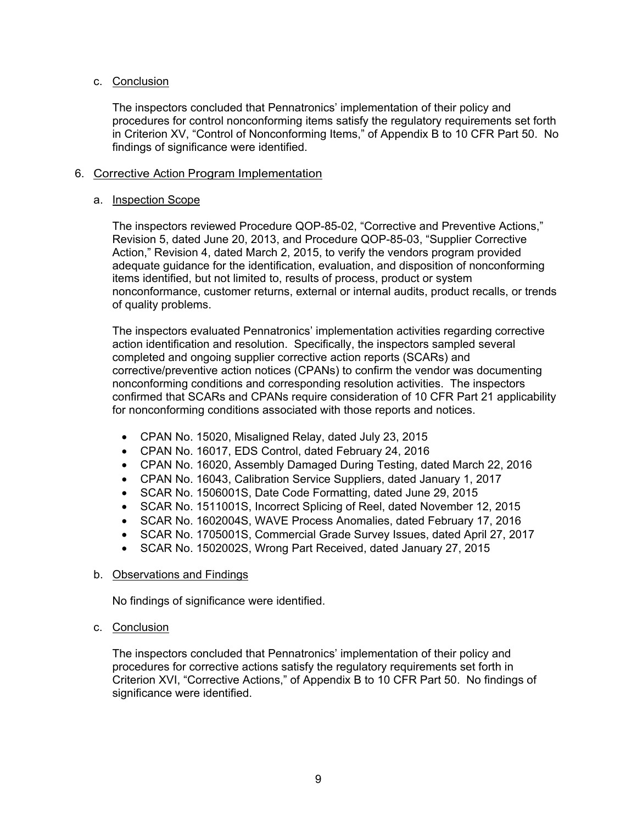### c. Conclusion

The inspectors concluded that Pennatronics' implementation of their policy and procedures for control nonconforming items satisfy the regulatory requirements set forth in Criterion XV, "Control of Nonconforming Items," of Appendix B to 10 CFR Part 50. No findings of significance were identified.

#### 6. Corrective Action Program Implementation

#### a. Inspection Scope

The inspectors reviewed Procedure QOP-85-02, "Corrective and Preventive Actions," Revision 5, dated June 20, 2013, and Procedure QOP-85-03, "Supplier Corrective Action," Revision 4, dated March 2, 2015, to verify the vendors program provided adequate guidance for the identification, evaluation, and disposition of nonconforming items identified, but not limited to, results of process, product or system nonconformance, customer returns, external or internal audits, product recalls, or trends of quality problems.

The inspectors evaluated Pennatronics' implementation activities regarding corrective action identification and resolution. Specifically, the inspectors sampled several completed and ongoing supplier corrective action reports (SCARs) and corrective/preventive action notices (CPANs) to confirm the vendor was documenting nonconforming conditions and corresponding resolution activities. The inspectors confirmed that SCARs and CPANs require consideration of 10 CFR Part 21 applicability for nonconforming conditions associated with those reports and notices.

- CPAN No. 15020, Misaligned Relay, dated July 23, 2015
- CPAN No. 16017, EDS Control, dated February 24, 2016
- CPAN No. 16020, Assembly Damaged During Testing, dated March 22, 2016
- CPAN No. 16043, Calibration Service Suppliers, dated January 1, 2017
- SCAR No. 1506001S, Date Code Formatting, dated June 29, 2015
- SCAR No. 1511001S, Incorrect Splicing of Reel, dated November 12, 2015
- SCAR No. 1602004S, WAVE Process Anomalies, dated February 17, 2016
- SCAR No. 1705001S, Commercial Grade Survey Issues, dated April 27, 2017
- SCAR No. 1502002S, Wrong Part Received, dated January 27, 2015

### b. Observations and Findings

No findings of significance were identified.

#### c. Conclusion

The inspectors concluded that Pennatronics' implementation of their policy and procedures for corrective actions satisfy the regulatory requirements set forth in Criterion XVI, "Corrective Actions," of Appendix B to 10 CFR Part 50. No findings of significance were identified.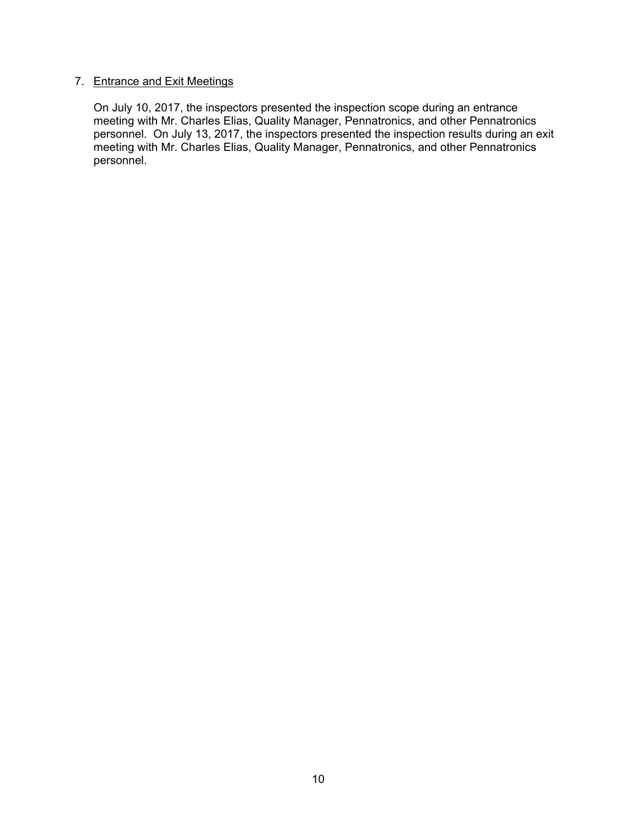### 7. Entrance and Exit Meetings

On July 10, 2017, the inspectors presented the inspection scope during an entrance meeting with Mr. Charles Elias, Quality Manager, Pennatronics, and other Pennatronics personnel. On July 13, 2017, the inspectors presented the inspection results during an exit meeting with Mr. Charles Elias, Quality Manager, Pennatronics, and other Pennatronics personnel.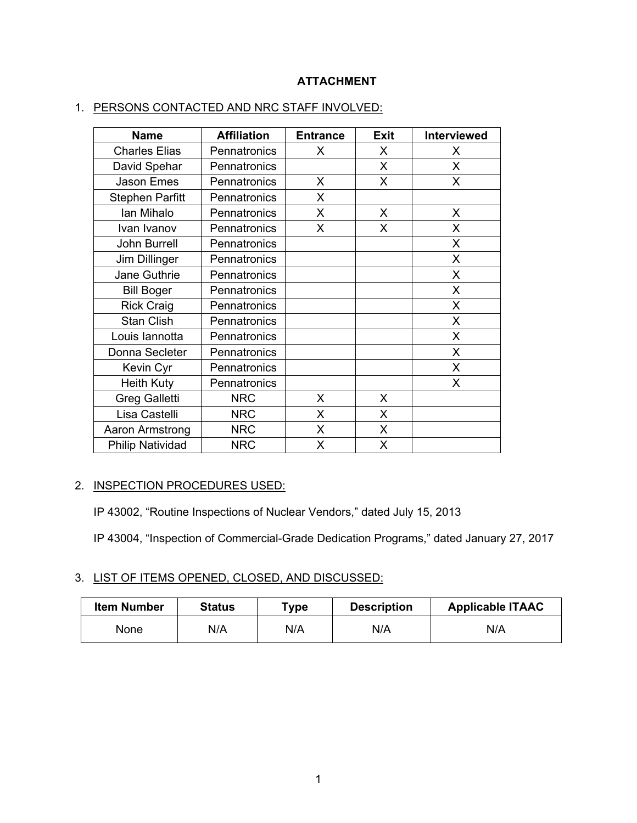## **ATTACHMENT**

| <b>Name</b>             | <b>Affiliation</b> |   | <b>Exit</b>  | <b>Interviewed</b> |
|-------------------------|--------------------|---|--------------|--------------------|
| <b>Charles Elias</b>    | Pennatronics       | X | X            | X                  |
| David Spehar            | Pennatronics       |   | X.           | X                  |
| Jason Emes              | Pennatronics       | X | $\mathsf{X}$ | X                  |
| <b>Stephen Parfitt</b>  | Pennatronics       | X |              |                    |
| Ian Mihalo              | Pennatronics       | X | X            | X                  |
| Ivan Ivanov             | Pennatronics       | X | X            | X                  |
| <b>John Burrell</b>     | Pennatronics       |   |              | X                  |
| Jim Dillinger           | Pennatronics       |   |              | X                  |
| Jane Guthrie            | Pennatronics       |   |              | X                  |
| <b>Bill Boger</b>       | Pennatronics       |   |              | X                  |
| <b>Rick Craig</b>       | Pennatronics       |   |              | X                  |
| <b>Stan Clish</b>       | Pennatronics       |   |              | X                  |
| Louis lannotta          | Pennatronics       |   |              | X                  |
| Donna Secleter          | Pennatronics       |   |              | X                  |
| Kevin Cyr               | Pennatronics       |   |              | X                  |
| <b>Heith Kuty</b>       | Pennatronics       |   |              | X                  |
| <b>Greg Galletti</b>    | <b>NRC</b>         | X | X            |                    |
| Lisa Castelli           | <b>NRC</b>         | X | $\mathsf{X}$ |                    |
| Aaron Armstrong         | <b>NRC</b>         | X | X            |                    |
| <b>Philip Natividad</b> | <b>NRC</b>         | X | X            |                    |

## 1. PERSONS CONTACTED AND NRC STAFF INVOLVED:

### 2. INSPECTION PROCEDURES USED:

IP 43002, "Routine Inspections of Nuclear Vendors," dated July 15, 2013

IP 43004, "Inspection of Commercial-Grade Dedication Programs," dated January 27, 2017

### 3. LIST OF ITEMS OPENED, CLOSED, AND DISCUSSED:

| <b>Item Number</b> | <b>Status</b> | $T$ ype | <b>Description</b> | <b>Applicable ITAAC</b> |
|--------------------|---------------|---------|--------------------|-------------------------|
| None               | N/A           | N/A     | N/A                | N/A                     |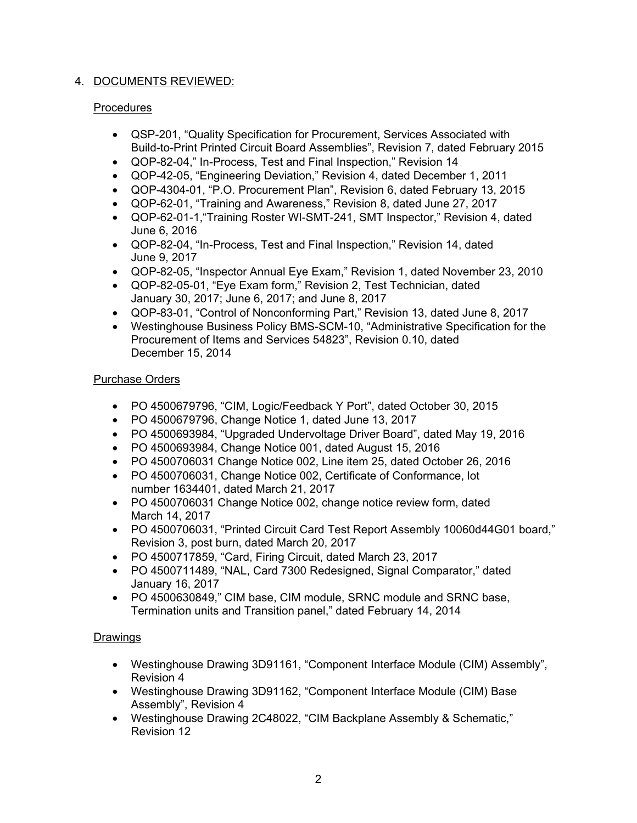## 4. DOCUMENTS REVIEWED:

## **Procedures**

- QSP-201, "Quality Specification for Procurement, Services Associated with Build-to-Print Printed Circuit Board Assemblies", Revision 7, dated February 2015
- QOP-82-04," In-Process, Test and Final Inspection," Revision 14
- QOP-42-05, "Engineering Deviation," Revision 4, dated December 1, 2011
- QOP-4304-01, "P.O. Procurement Plan", Revision 6, dated February 13, 2015
- QOP-62-01, "Training and Awareness," Revision 8, dated June 27, 2017
- QOP-62-01-1,"Training Roster WI-SMT-241, SMT Inspector," Revision 4, dated June 6, 2016
- QOP-82-04, "In-Process, Test and Final Inspection," Revision 14, dated June 9, 2017
- QOP-82-05, "Inspector Annual Eye Exam," Revision 1, dated November 23, 2010
- QOP-82-05-01, "Eye Exam form," Revision 2, Test Technician, dated January 30, 2017; June 6, 2017; and June 8, 2017
- QOP-83-01, "Control of Nonconforming Part," Revision 13, dated June 8, 2017
- Westinghouse Business Policy BMS-SCM-10, "Administrative Specification for the Procurement of Items and Services 54823", Revision 0.10, dated December 15, 2014

## Purchase Orders

- PO 4500679796, "CIM, Logic/Feedback Y Port", dated October 30, 2015
- PO 4500679796, Change Notice 1, dated June 13, 2017
- PO 4500693984, "Upgraded Undervoltage Driver Board", dated May 19, 2016
- PO 4500693984, Change Notice 001, dated August 15, 2016
- PO 4500706031 Change Notice 002, Line item 25, dated October 26, 2016
- PO 4500706031, Change Notice 002, Certificate of Conformance, lot number 1634401, dated March 21, 2017
- PO 4500706031 Change Notice 002, change notice review form, dated March 14, 2017
- PO 4500706031, "Printed Circuit Card Test Report Assembly 10060d44G01 board," Revision 3, post burn, dated March 20, 2017
- PO 4500717859, "Card, Firing Circuit, dated March 23, 2017
- PO 4500711489, "NAL, Card 7300 Redesigned, Signal Comparator," dated January 16, 2017
- PO 4500630849," CIM base, CIM module, SRNC module and SRNC base, Termination units and Transition panel," dated February 14, 2014

## **Drawings**

- Westinghouse Drawing 3D91161, "Component Interface Module (CIM) Assembly", Revision 4
- Westinghouse Drawing 3D91162, "Component Interface Module (CIM) Base Assembly", Revision 4
- Westinghouse Drawing 2C48022, "CIM Backplane Assembly & Schematic," Revision 12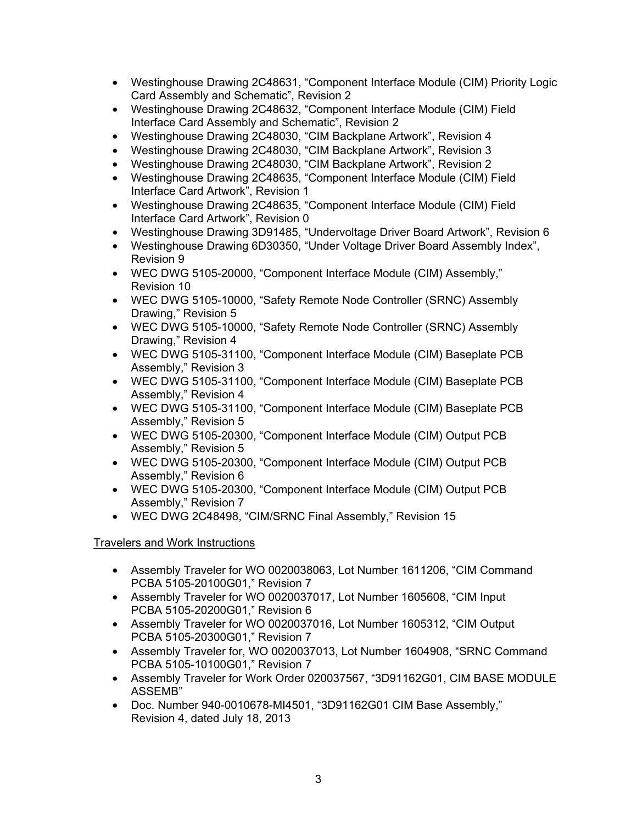- Westinghouse Drawing 2C48631, "Component Interface Module (CIM) Priority Logic Card Assembly and Schematic", Revision 2
- Westinghouse Drawing 2C48632, "Component Interface Module (CIM) Field Interface Card Assembly and Schematic", Revision 2
- Westinghouse Drawing 2C48030, "CIM Backplane Artwork", Revision 4
- Westinghouse Drawing 2C48030, "CIM Backplane Artwork", Revision 3
- Westinghouse Drawing 2C48030, "CIM Backplane Artwork", Revision 2
- Westinghouse Drawing 2C48635, "Component Interface Module (CIM) Field Interface Card Artwork", Revision 1
- Westinghouse Drawing 2C48635, "Component Interface Module (CIM) Field Interface Card Artwork", Revision 0
- Westinghouse Drawing 3D91485, "Undervoltage Driver Board Artwork", Revision 6
- Westinghouse Drawing 6D30350, "Under Voltage Driver Board Assembly Index", Revision 9
- WEC DWG 5105-20000, "Component Interface Module (CIM) Assembly," Revision 10
- WEC DWG 5105-10000, "Safety Remote Node Controller (SRNC) Assembly Drawing," Revision 5
- WEC DWG 5105-10000, "Safety Remote Node Controller (SRNC) Assembly Drawing," Revision 4
- WEC DWG 5105-31100, "Component Interface Module (CIM) Baseplate PCB Assembly," Revision 3
- WEC DWG 5105-31100, "Component Interface Module (CIM) Baseplate PCB Assembly," Revision 4
- WEC DWG 5105-31100, "Component Interface Module (CIM) Baseplate PCB Assembly," Revision 5
- WEC DWG 5105-20300, "Component Interface Module (CIM) Output PCB Assembly," Revision 5
- WEC DWG 5105-20300, "Component Interface Module (CIM) Output PCB Assembly," Revision 6
- WEC DWG 5105-20300, "Component Interface Module (CIM) Output PCB Assembly," Revision 7
- WEC DWG 2C48498, "CIM/SRNC Final Assembly," Revision 15

## Travelers and Work Instructions

- Assembly Traveler for WO 0020038063, Lot Number 1611206, "CIM Command PCBA 5105-20100G01," Revision 7
- Assembly Traveler for WO 0020037017, Lot Number 1605608, "CIM Input PCBA 5105-20200G01," Revision 6
- Assembly Traveler for WO 0020037016, Lot Number 1605312, "CIM Output PCBA 5105-20300G01," Revision 7
- Assembly Traveler for, WO 0020037013, Lot Number 1604908, "SRNC Command PCBA 5105-10100G01," Revision 7
- Assembly Traveler for Work Order 020037567, "3D91162G01, CIM BASE MODULE ASSEMB"
- Doc. Number 940-0010678-MI4501, "3D91162G01 CIM Base Assembly," Revision 4, dated July 18, 2013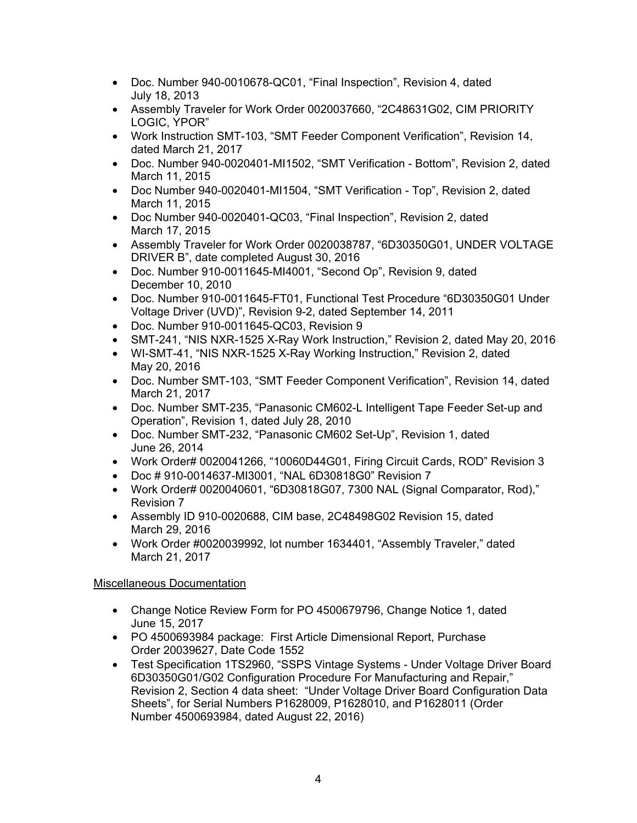- Doc. Number 940-0010678-QC01, "Final Inspection", Revision 4, dated July 18, 2013
- Assembly Traveler for Work Order 0020037660, "2C48631G02, CIM PRIORITY LOGIC, YPOR"
- Work Instruction SMT-103, "SMT Feeder Component Verification", Revision 14, dated March 21, 2017
- Doc. Number 940-0020401-MI1502, "SMT Verification Bottom", Revision 2, dated March 11, 2015
- Doc Number 940-0020401-MI1504, "SMT Verification Top", Revision 2, dated March 11, 2015
- Doc Number 940-0020401-QC03, "Final Inspection", Revision 2, dated March 17, 2015
- Assembly Traveler for Work Order 0020038787, "6D30350G01, UNDER VOLTAGE DRIVER B", date completed August 30, 2016
- Doc. Number 910-0011645-MI4001, "Second Op", Revision 9, dated December 10, 2010
- Doc. Number 910-0011645-FT01, Functional Test Procedure "6D30350G01 Under Voltage Driver (UVD)", Revision 9-2, dated September 14, 2011
- Doc. Number 910-0011645-QC03, Revision 9
- SMT-241, "NIS NXR-1525 X-Ray Work Instruction," Revision 2, dated May 20, 2016
- WI-SMT-41, "NIS NXR-1525 X-Ray Working Instruction," Revision 2, dated May 20, 2016
- Doc. Number SMT-103, "SMT Feeder Component Verification", Revision 14, dated March 21, 2017
- Doc. Number SMT-235, "Panasonic CM602-L Intelligent Tape Feeder Set-up and Operation", Revision 1, dated July 28, 2010
- Doc. Number SMT-232, "Panasonic CM602 Set-Up", Revision 1, dated June 26, 2014
- Work Order# 0020041266, "10060D44G01, Firing Circuit Cards, ROD" Revision 3
- Doc # 910-0014637-MI3001, "NAL 6D30818G0" Revision 7
- Work Order# 0020040601, "6D30818G07, 7300 NAL (Signal Comparator, Rod)," Revision 7
- Assembly ID 910-0020688, CIM base, 2C48498G02 Revision 15, dated March 29, 2016
- Work Order #0020039992, lot number 1634401, "Assembly Traveler," dated March 21, 2017

## Miscellaneous Documentation

- Change Notice Review Form for PO 4500679796, Change Notice 1, dated June 15, 2017
- PO 4500693984 package: First Article Dimensional Report, Purchase Order 20039627, Date Code 1552
- Test Specification 1TS2960, "SSPS Vintage Systems Under Voltage Driver Board 6D30350G01/G02 Configuration Procedure For Manufacturing and Repair," Revision 2, Section 4 data sheet: "Under Voltage Driver Board Configuration Data Sheets", for Serial Numbers P1628009, P1628010, and P1628011 (Order Number 4500693984, dated August 22, 2016)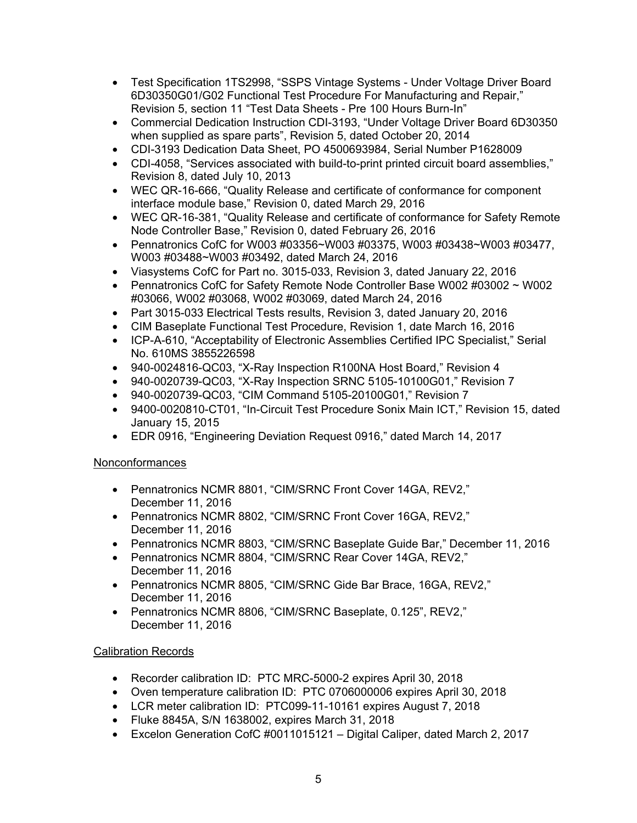- Test Specification 1TS2998, "SSPS Vintage Systems Under Voltage Driver Board 6D30350G01/G02 Functional Test Procedure For Manufacturing and Repair," Revision 5, section 11 "Test Data Sheets - Pre 100 Hours Burn-In"
- Commercial Dedication Instruction CDI-3193, "Under Voltage Driver Board 6D30350 when supplied as spare parts", Revision 5, dated October 20, 2014
- CDI-3193 Dedication Data Sheet, PO 4500693984, Serial Number P1628009
- CDI-4058, "Services associated with build-to-print printed circuit board assemblies," Revision 8, dated July 10, 2013
- WEC QR-16-666, "Quality Release and certificate of conformance for component interface module base," Revision 0, dated March 29, 2016
- WEC QR-16-381, "Quality Release and certificate of conformance for Safety Remote Node Controller Base," Revision 0, dated February 26, 2016
- Pennatronics CofC for W003 #03356~W003 #03375, W003 #03438~W003 #03477, W003 #03488~W003 #03492, dated March 24, 2016
- Viasystems CofC for Part no. 3015-033, Revision 3, dated January 22, 2016
- Pennatronics CofC for Safety Remote Node Controller Base W002 #03002 ~ W002 #03066, W002 #03068, W002 #03069, dated March 24, 2016
- Part 3015-033 Electrical Tests results, Revision 3, dated January 20, 2016
- CIM Baseplate Functional Test Procedure, Revision 1, date March 16, 2016
- ICP-A-610, "Acceptability of Electronic Assemblies Certified IPC Specialist," Serial No. 610MS 3855226598
- 940-0024816-QC03, "X-Ray Inspection R100NA Host Board," Revision 4
- 940-0020739-QC03, "X-Ray Inspection SRNC 5105-10100G01," Revision 7
- 940-0020739-QC03, "CIM Command 5105-20100G01," Revision 7
- 9400-0020810-CT01, "In-Circuit Test Procedure Sonix Main ICT," Revision 15, dated January 15, 2015
- EDR 0916, "Engineering Deviation Request 0916," dated March 14, 2017

## Nonconformances

- Pennatronics NCMR 8801, "CIM/SRNC Front Cover 14GA, REV2," December 11, 2016
- Pennatronics NCMR 8802, "CIM/SRNC Front Cover 16GA, REV2," December 11, 2016
- Pennatronics NCMR 8803, "CIM/SRNC Baseplate Guide Bar," December 11, 2016
- Pennatronics NCMR 8804, "CIM/SRNC Rear Cover 14GA, REV2," December 11, 2016
- Pennatronics NCMR 8805, "CIM/SRNC Gide Bar Brace, 16GA, REV2," December 11, 2016
- Pennatronics NCMR 8806, "CIM/SRNC Baseplate, 0.125", REV2," December 11, 2016

## Calibration Records

- Recorder calibration ID: PTC MRC-5000-2 expires April 30, 2018
- Oven temperature calibration ID: PTC 0706000006 expires April 30, 2018
- LCR meter calibration ID: PTC099-11-10161 expires August 7, 2018
- Fluke 8845A, S/N 1638002, expires March 31, 2018
- Excelon Generation CofC #0011015121 Digital Caliper, dated March 2, 2017